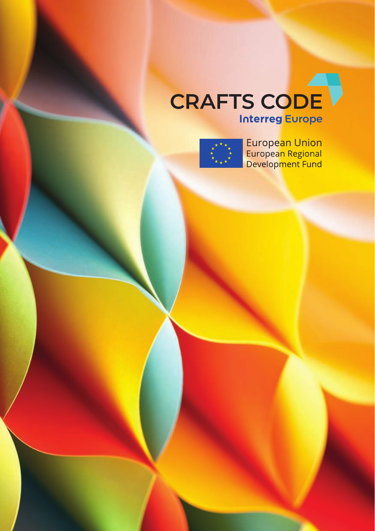## CRAFTS CODE **Interreg Europe**



European Union<br>European Regional<br>Development Fund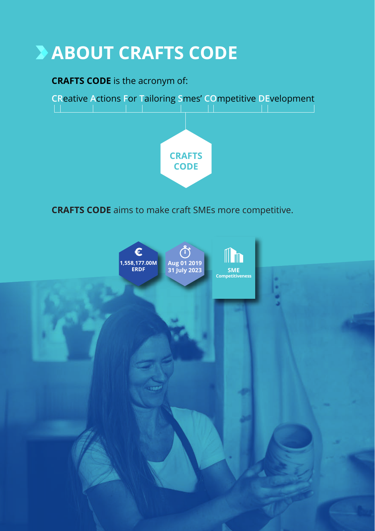# **ABOUT CRAFTS CODE**

### **CRAFTS CODE** is the acronym of:



**CRAFTS CODE** aims to make craft SMEs more competitive.

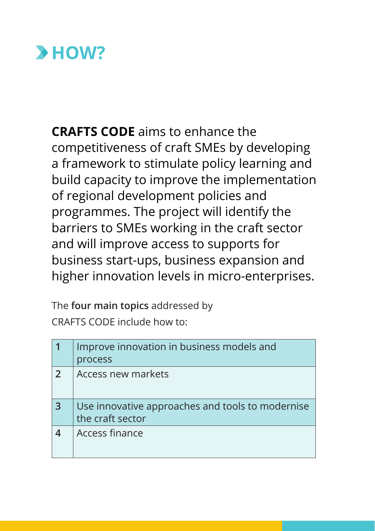

**CRAFTS CODE** aims to enhance the competitiveness of craft SMEs by developing a framework to stimulate policy learning and build capacity to improve the implementation of regional development policies and programmes. The project will identify the barriers to SMEs working in the craft sector and will improve access to supports for business start-ups, business expansion and higher innovation levels in micro-enterprises.

The **four main topics** addressed by CRAFTS CODE include how to:

|                | Improve innovation in business models and<br>process                 |
|----------------|----------------------------------------------------------------------|
| $\overline{2}$ | Access new markets                                                   |
| 3              | Use innovative approaches and tools to modernise<br>the craft sector |
|                | Access finance                                                       |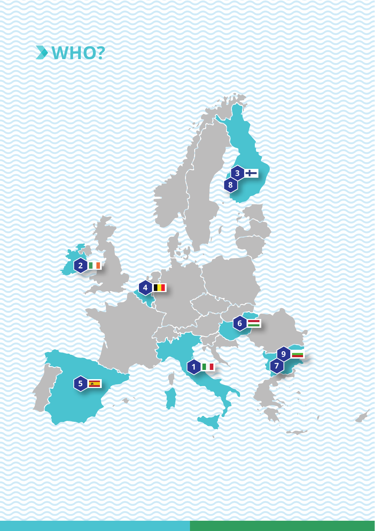

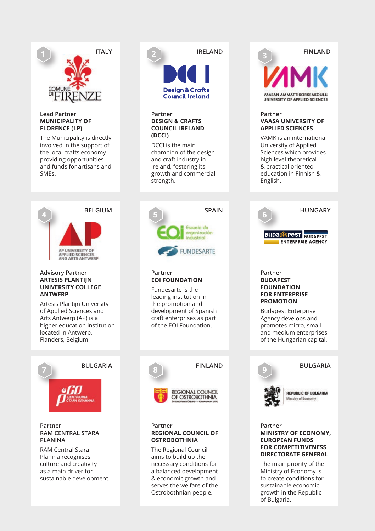

#### **Lead Partner MUNICIPALITY OF FLORENCE (LP)**

The Municipality is directly involved in the support of the local crafts economy providing opportunities and funds for artisans and SMEs.



#### **Advisory Partner ARTESIS PLANTIJN UNIVERSITY COLLEGE ANTWERP**

Artesis Plantijn University of Applied Sciences and Arts Antwerp (AP) is a higher education institution located in Antwerp, Flanders, Belgium.



#### **Partner RAM CENTRAL STARA PLANINA**

RAM Central Stara Planina recognises culture and creativity as a main driver for sustainable development.



DCCI is the main champion of the design and craft industry in Ireland, fostering its growth and commercial strength.



#### **Partner EOI FOUNDATION**

Fundesarte is the leading institution in the promotion and development of Spanish craft enterprises as part of the EOI Foundation.



#### **Partner REGIONAL COUNCIL OF OSTROBOTHNIA**

The Regional Council aims to build up the necessary conditions for a balanced development & economic growth and serves the welfare of the Ostrobothnian people.

### **FINLAND 3** VAACAN AMMATTIVOOVEAVOILLI INIVERSITY OF APPLIED SCIENCES

#### **Partner VAASA UNIVERSITY OF APPLIED SCIENCES**

VAMK is an international University of Applied Sciences which provides high level theoretical & practical oriented education in Finnish & English.



#### **Partner BUDAPEST FOUNDATION FOR ENTERPRISE PROMOTION**

Budapest Enterprise Agency develops and promotes micro, small and medium enterprises of the Hungarian capital.



#### **BULGARIA**

#### **REPUBLIC OF BULGARIA** Ministry of Fennomy

#### **Partner MINISTRY OF ECONOMY, EUROPEAN FUNDS FOR COMPETITIVENESS DIRECTORATE GENERAL**

The main priority of the Ministry of Economy is to create conditions for sustainable economic growth in the Republic of Bulgaria.